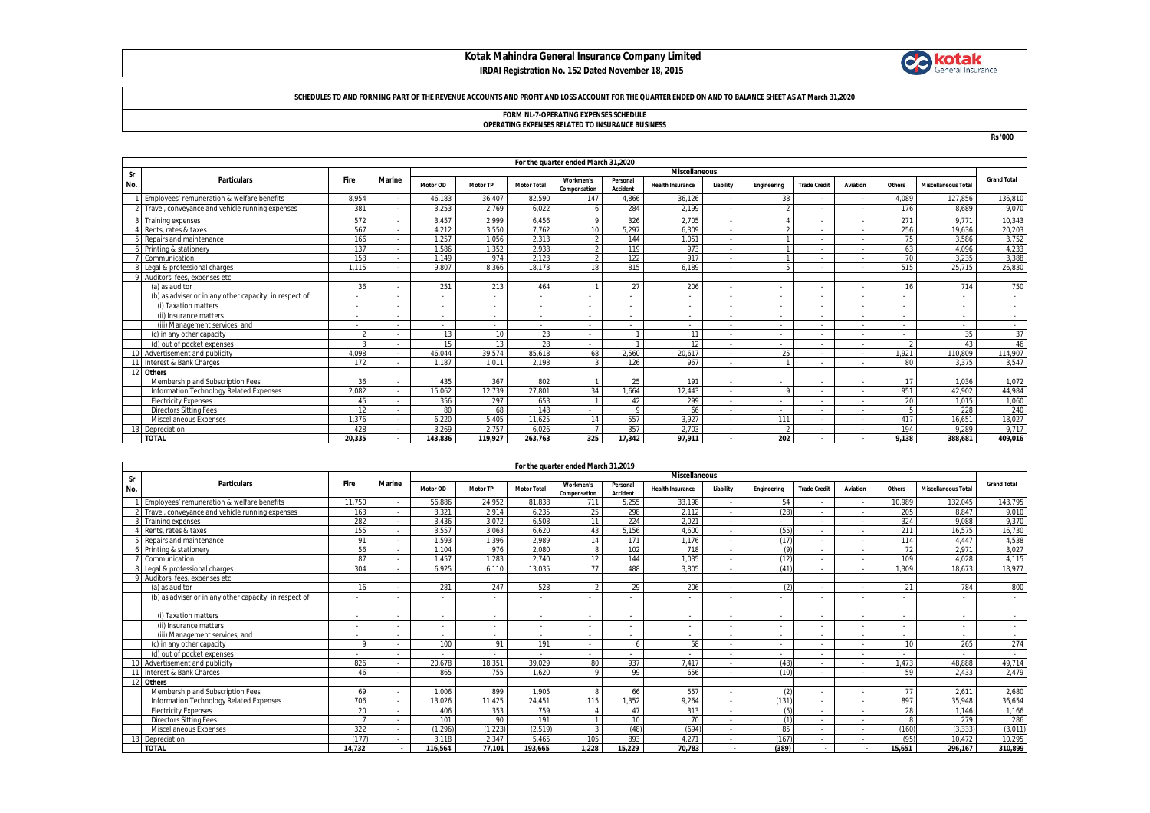## **Kotak Mahindra General Insurance Company Limited IRDAI Registration No. 152 Dated November 18, 2015**



#### **SCHEDULES TO AND FORMING PART OF THE REVENUE ACCOUNTS AND PROFIT AND LOSS ACCOUNT FOR THE QUARTER ENDED ON AND TO BALANCE SHEET AS AT March 31,2020**

# **FORM NL-7-OPERATING EXPENSES SCHEDULE OPERATING EXPENSES RELATED TO INSURANCE BUSINESS**

**Rs '000**

|     | For the quarter ended March 31,2020                    |                          |                          |          |                 |                    |                           |                      |                          |                          |                          |                          |                          |        |                            |                    |
|-----|--------------------------------------------------------|--------------------------|--------------------------|----------|-----------------|--------------------|---------------------------|----------------------|--------------------------|--------------------------|--------------------------|--------------------------|--------------------------|--------|----------------------------|--------------------|
| Sr  |                                                        |                          |                          |          |                 |                    |                           |                      | <b>Miscellaneous</b>     |                          |                          |                          |                          |        |                            |                    |
| No. | <b>Particulars</b>                                     | Fire                     | <b>Marine</b>            | Motor OD | <b>Motor TP</b> | <b>Motor Total</b> | Workmen's<br>Compensation | Personal<br>Accident | <b>Health Insurance</b>  | Liability                | Engineering              | <b>Trade Credit</b>      | Aviation                 | Others | <b>Miscellaneous Total</b> | <b>Grand Total</b> |
|     | Employees' remuneration & welfare benefits             | 8,954                    | $\overline{\phantom{a}}$ | 46,183   | 36,407          | 82,590             | 147                       | 4,866                | 36,126                   | $\sim$                   | 38                       |                          | $\sim$                   | 4,089  | 127,856                    | 136,810            |
|     | 2 Travel, conveyance and vehicle running expenses      | 381                      |                          | 3,253    | 2.769           | 6.022              |                           | 284                  | 2.199                    | $\sim$                   |                          |                          |                          | 176    | 8.689                      | 9,070              |
|     | 3 Training expenses                                    | 572                      |                          | 3,457    | 2,999           | 6,456              |                           | 326                  | 2,705                    | $\sim$                   |                          |                          |                          | 271    | 9.771                      | 10,343             |
|     | Rents, rates & taxes                                   | 567                      |                          | 4.212    | 3.550           | 7.762              | 10 <sup>1</sup>           | 5.297                | 6,309                    | $\sim$                   |                          |                          |                          | 256    | 19.636                     | 20,203             |
|     | Repairs and maintenance                                | 166                      |                          | 1.257    | 1.056           | 2.313              |                           | 144                  | 1.051                    | $\sim$                   |                          |                          |                          | 75     | 3.586                      | 3,752              |
|     | Printing & stationery                                  | 137                      |                          | 1.586    | 1,352           | 2,938              |                           | 119                  | 973                      | $\sim$                   |                          |                          |                          | 63     | 4.096                      | 4,233              |
|     | Communication                                          | 153                      |                          | 1.149    | 974             | 2,123              |                           | 122                  | 917                      | $\sim$                   |                          |                          |                          | 70     | 3.235                      | 3,388              |
|     | Legal & professional charges                           | 1.115                    |                          | 9.807    | 8.366           | 18.173             | 18                        | 815                  | 6.189                    | $\overline{\phantom{a}}$ |                          |                          |                          | 515    | 25.715                     | 26,830             |
|     | 9 Auditors' fees, expenses etc.                        |                          |                          |          |                 |                    |                           |                      |                          |                          |                          |                          |                          |        |                            |                    |
|     | (a) as auditor                                         | 36                       |                          | 251      | 213             | 464                |                           | 27                   | 206                      |                          | $\overline{\phantom{a}}$ |                          | $\sim$                   | 16     | 714                        | 750                |
|     | (b) as adviser or in any other capacity, in respect of |                          |                          |          |                 |                    |                           |                      |                          | $\sim$                   | $\overline{\phantom{a}}$ |                          |                          |        |                            |                    |
|     | (i) Taxation matters                                   | $\overline{\phantom{a}}$ |                          |          |                 |                    |                           |                      | $\overline{\phantom{a}}$ | $\sim$                   | $\overline{\phantom{a}}$ |                          |                          |        |                            | $\sim$             |
|     | (ii) Insurance matters                                 | <b>.</b>                 |                          |          |                 |                    |                           |                      | $\overline{\phantom{0}}$ | $\sim$                   | $\overline{\phantom{a}}$ |                          | $\overline{\phantom{a}}$ |        |                            | $\sim$             |
|     | (iii) Management services; and                         |                          |                          |          |                 |                    |                           |                      |                          | $\sim$                   | $\overline{\phantom{a}}$ |                          |                          |        |                            | $\sim$             |
|     | (c) in any other capacity                              | $\mathfrak{D}$           |                          | 13       | 10 <sup>1</sup> | 23                 |                           |                      | 11                       | $\overline{\phantom{a}}$ | $\overline{\phantom{a}}$ |                          | $\overline{\phantom{a}}$ |        | 35                         | 37                 |
|     | (d) out of pocket expenses                             | $\mathbf{\Omega}$        |                          | 15       | 13              | 28                 |                           |                      | 12                       | $\overline{\phantom{a}}$ | $\overline{\phantom{0}}$ |                          |                          |        | 43                         | 46                 |
|     | 10 Advertisement and publicity                         | 4.098                    |                          | 46.044   | 39,574          | 85.618             | 68                        | 2.560                | 20,617                   | $\overline{\phantom{a}}$ | 25                       |                          |                          | 1.921  | 110,809                    | 114,907            |
|     | Interest & Bank Charges                                | 172                      |                          | 1.187    | 1.011           | 2.198              |                           | 126                  | 967                      | $\sim$                   |                          |                          |                          | 80     | 3.375                      | 3,547              |
|     | 12 Others                                              |                          |                          |          |                 |                    |                           |                      |                          |                          |                          |                          |                          |        |                            |                    |
|     | Membership and Subscription Fees                       | 36                       |                          | 435      | 367             | 802                |                           | 25                   | 191                      | $\sim$                   | $\overline{\phantom{a}}$ | $\overline{\phantom{a}}$ | $\overline{\phantom{a}}$ | 17     | 1.036                      | 1,072              |
|     | Information Technology Related Expenses                | 2.082                    |                          | 15.062   | 12,739          | 27,801             | 34                        | .664                 | 12.443                   | $\overline{\phantom{a}}$ | $\circ$                  |                          |                          | 951    | 42.902                     | 44,984             |
|     | <b>Electricity Expenses</b>                            | 45                       |                          | 356      | 297             | 653                |                           | 42                   | 299                      | $\sim$                   | $\overline{\phantom{a}}$ |                          |                          | 20     | 1.015                      | 1,060              |
|     | <b>Directors Sitting Fees</b>                          | 12                       |                          | 80       | 68              | 148                |                           | $\Omega$             | 66                       | $\sim$                   | $\overline{\phantom{a}}$ |                          | $\overline{\phantom{a}}$ |        | 228                        | 240                |
|     | Miscellaneous Expenses                                 | 1.376                    |                          | 6.220    | 5.405           | 11.625             | 14                        | 557                  | 3.927                    | $\sim$                   | 111                      |                          | $\overline{\phantom{a}}$ | 417    | 16.651                     | 18,027             |
|     | 3 Depreciation                                         | 428                      |                          | 3.269    | 2.757           | 6.026              |                           | 357                  | 2,703                    | $\sim$                   |                          |                          |                          | 194    | 9.289                      | 9,717              |
|     | <b>TOTAL</b>                                           | 20.335                   |                          | 143.836  | 119.927         | 263.763            | 325                       | 17.342               | 97.911                   | $\mathbf{r}$             | 202                      |                          |                          | 9.138  | 388.681                    | 409,016            |

|     | For the quarter ended March 31,2019                    |                          |               |                          |                 |                          |                           |                      |                          |                          |             |                          |                          |        |                            |                          |
|-----|--------------------------------------------------------|--------------------------|---------------|--------------------------|-----------------|--------------------------|---------------------------|----------------------|--------------------------|--------------------------|-------------|--------------------------|--------------------------|--------|----------------------------|--------------------------|
| Sr  |                                                        |                          |               | <b>Miscellaneous</b>     |                 |                          |                           |                      |                          |                          |             |                          |                          |        |                            |                          |
| No. | <b>Particulars</b>                                     | Fire                     | <b>Marine</b> | Motor OD                 | <b>Motor TP</b> | <b>Motor Total</b>       | Workmen's<br>Compensation | Personal<br>Accident | <b>Health Insurance</b>  | Liability                | Engineering | <b>Trade Credit</b>      | Aviation                 | Others | <b>Miscellaneous Total</b> | <b>Grand Total</b>       |
|     | Employees' remuneration & welfare benefits             | 11.750                   |               | 56.886                   | 24,952          | 81.838                   | 711                       | 5,255                | 33,198                   | $\sim$                   | 54          |                          | $\overline{\phantom{a}}$ | 10.989 | 132.045                    | 143,795                  |
|     | Travel, conveyance and vehicle running expenses        | 163                      |               | 3.321                    | 2.914           | 6,235                    | 25                        | 298                  | 2.112                    |                          | (28)        |                          |                          | 205    | 8.847                      | 9,010                    |
|     | <b>Training expenses</b>                               | 282                      |               | 3.436                    | 3.072           | 6,508                    | 11                        | 224                  | 2.021                    |                          | $\sim$      |                          |                          | 324    | 9.088                      | 9,370                    |
|     | Rents, rates & taxes                                   | 155                      |               | 3.557                    | 3.063           | 6.620                    | 43                        | 5.156                | 4.600                    | $\overline{\phantom{a}}$ | (55)        |                          |                          | 211    | 16.575                     | 16,730                   |
|     | Repairs and maintenance                                | $Q^2$                    |               | 1,593                    | 1,396           | 2,989                    | 14                        | 171                  | 1,176                    | $\sim$                   | (17)        |                          |                          | 114    | 4,447                      | 4,538                    |
|     | Printing & stationery                                  | 56                       |               | 1.104                    | 976             | 2.080                    | 8                         | 102                  | 718                      | $\sim$                   | $\sqrt{a}$  |                          |                          | 72     | 2.971                      | 3,027                    |
|     | Communication                                          | 87                       |               | 1.457                    | 1.283           | 2.740                    | 12                        | 144                  | 1.035                    | $\sim$                   | (12)        |                          | $\overline{\phantom{a}}$ | 109    | 4.028                      | 4,115                    |
|     | Legal & professional charges                           | 304                      |               | 6.925                    | 6.110           | 13.035                   | 77                        | 488                  | 3.805                    | $\sim$                   | (41)        |                          |                          | 1.309  | 18.673                     | 18.977                   |
|     | Auditors' fees, expenses etc                           |                          |               |                          |                 |                          |                           |                      |                          |                          |             |                          |                          |        |                            |                          |
|     | (a) as auditor                                         | 16                       |               | 281                      | 247             | 528                      | $\mathcal{D}$             | 29                   | 206                      | $\overline{\phantom{a}}$ | $\sqrt{2}$  |                          |                          | 21     | 784                        | 800                      |
|     | (b) as adviser or in any other capacity, in respect of |                          |               |                          |                 |                          |                           |                      |                          |                          |             |                          |                          |        |                            |                          |
|     | (i) Taxation matters                                   | $\overline{\phantom{a}}$ |               | $\overline{\phantom{a}}$ |                 | $\overline{\phantom{a}}$ | $\overline{\phantom{a}}$  |                      |                          | $\sim$                   | $\sim$      |                          |                          | $\sim$ | $\sim$                     | $\sim$                   |
|     | (ii) Insurance matters                                 | $\overline{\phantom{a}}$ |               | $\sim$                   |                 | $\sim$                   | $\sim$                    |                      |                          |                          | $\sim$      |                          |                          | $\sim$ | $\sim$                     | $\overline{\phantom{a}}$ |
|     | (iii) Management services: and                         | $\overline{\phantom{a}}$ |               | ٠                        |                 | $\overline{\phantom{a}}$ | $\sim$                    |                      | $\overline{\phantom{a}}$ |                          | $\sim$      |                          |                          | $\sim$ | $\overline{a}$             | $\sim$                   |
|     | (c) in any other capacity                              |                          |               | 100                      | 91              | 191                      | $\overline{\phantom{a}}$  |                      | 58                       |                          | $\sim$      |                          |                          | 10     | 265                        | 274                      |
|     | (d) out of pocket expenses                             |                          |               |                          |                 |                          |                           |                      |                          |                          | $\sim$      |                          |                          |        | $\sim$                     | $\sim$                   |
|     | 10 Advertisement and publicity                         | 826                      |               | 20,678                   | 18.351          | 39,029                   | 80                        | 937                  | 7.417                    | $\overline{\phantom{a}}$ | (48)        |                          |                          | 1.473  | 48.888                     | 49,714                   |
|     | Interest & Bank Charges                                | $\Delta l$               |               | 865                      | 755             | 1.620                    | $\circ$                   | 99                   | 656                      |                          | (10)        |                          |                          | 59     | 2.433                      | 2,479                    |
| 12  | <b>Others</b>                                          |                          |               |                          |                 |                          |                           |                      |                          |                          |             |                          |                          |        |                            |                          |
|     | Membership and Subscription Fees                       | 69                       |               | 1.006                    | 899             | 1.905                    | $\mathbf{R}$              | 66                   | 557                      |                          | $\sqrt{2}$  |                          | ٠                        | 77     | 2.611                      | 2,680                    |
|     | Information Technology Related Expenses                | 706                      |               | 13,026                   | 11.425          | 24,451                   | 115                       | ,352                 | 9,264                    |                          | (131)       |                          |                          | 897    | 35.948                     | 36,654                   |
|     | <b>Electricity Expenses</b>                            | 20                       |               | 406                      | 353             | 759                      |                           | 47                   | 313                      | $\overline{\phantom{a}}$ |             |                          |                          | 28     | 1.146                      | 1,166                    |
|     | <b>Directors Sitting Fees</b>                          |                          |               | 101                      | 90              | 191                      |                           | 10 <sup>1</sup>      | 70                       |                          |             |                          |                          |        | 279                        | 286                      |
|     | Miscellaneous Expenses                                 | 322                      |               | (1, 296)                 | (1, 223)        | (2, 519)                 | 3                         | (48)                 | (694)                    | $\sim$                   | 85          |                          |                          | (160)  | (3.333)                    | (3,011)                  |
|     | Depreciation                                           | (177)                    |               | 3.118                    | 2.347           | 5.465                    | 105                       | 893                  | 4.271                    | $\sim$                   | (167)       | $\overline{\phantom{a}}$ | $\overline{\phantom{a}}$ | (95)   | 10.472                     | 10,295                   |
|     | <b>TOTAL</b>                                           | 14,732                   |               | 116,564                  | 77.101          | 193.665                  | 1.228                     | 15.229               | 70,783                   | $\sim$                   | (389)       | $\sim$                   | $\overline{\phantom{a}}$ | 15,651 | 296.167                    | 310,899                  |